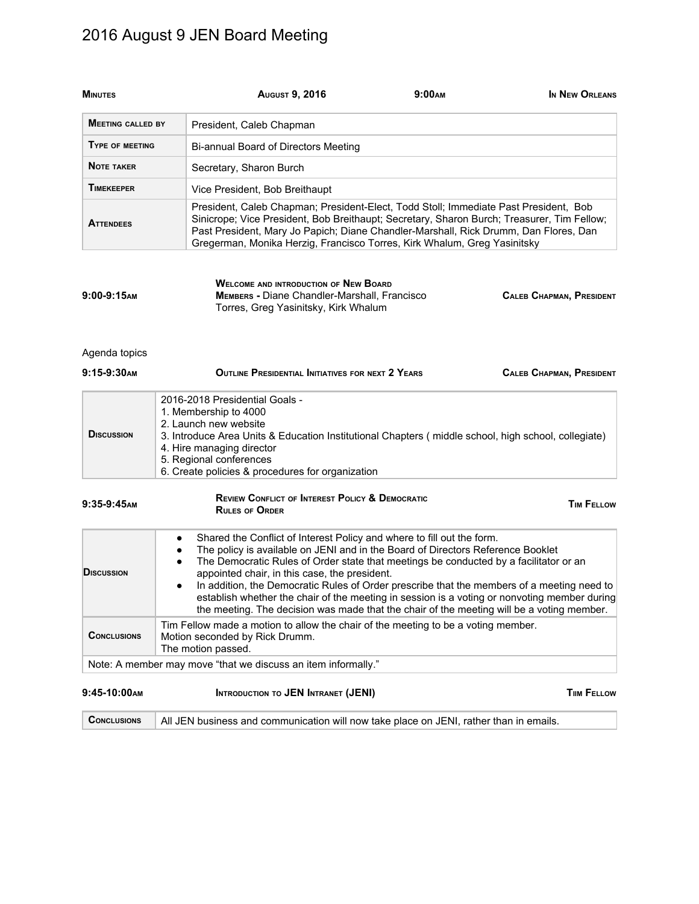# 2016 August 9 JEN Board Meeting

| <b>MINUTES</b>           |                | <b>AUGUST 9, 2016</b>                                                                                                                                                                                                                                                                                                                                                                                                                                                                                                                                                                          | 9:00 <sub>AM</sub> | IN NEW ORLEANS                  |
|--------------------------|----------------|------------------------------------------------------------------------------------------------------------------------------------------------------------------------------------------------------------------------------------------------------------------------------------------------------------------------------------------------------------------------------------------------------------------------------------------------------------------------------------------------------------------------------------------------------------------------------------------------|--------------------|---------------------------------|
| <b>MEETING CALLED BY</b> |                | President, Caleb Chapman                                                                                                                                                                                                                                                                                                                                                                                                                                                                                                                                                                       |                    |                                 |
| TYPE OF MEETING          |                | Bi-annual Board of Directors Meeting                                                                                                                                                                                                                                                                                                                                                                                                                                                                                                                                                           |                    |                                 |
| <b>NOTE TAKER</b>        |                | Secretary, Sharon Burch                                                                                                                                                                                                                                                                                                                                                                                                                                                                                                                                                                        |                    |                                 |
| <b>TIMEKEEPER</b>        |                | Vice President, Bob Breithaupt                                                                                                                                                                                                                                                                                                                                                                                                                                                                                                                                                                 |                    |                                 |
| <b>ATTENDEES</b>         |                | President, Caleb Chapman; President-Elect, Todd Stoll; Immediate Past President, Bob<br>Sinicrope; Vice President, Bob Breithaupt; Secretary, Sharon Burch; Treasurer, Tim Fellow;<br>Past President, Mary Jo Papich; Diane Chandler-Marshall, Rick Drumm, Dan Flores, Dan<br>Gregerman, Monika Herzig, Francisco Torres, Kirk Whalum, Greg Yasinitsky                                                                                                                                                                                                                                         |                    |                                 |
| $9:00-9:15$ AM           |                | <b>WELCOME AND INTRODUCTION OF NEW BOARD</b><br>MEMBERS - Diane Chandler-Marshall, Francisco<br>Torres, Greg Yasinitsky, Kirk Whalum                                                                                                                                                                                                                                                                                                                                                                                                                                                           |                    | <b>CALEB CHAPMAN, PRESIDENT</b> |
| Agenda topics            |                |                                                                                                                                                                                                                                                                                                                                                                                                                                                                                                                                                                                                |                    |                                 |
| 9:15-9:30AM              |                | OUTLINE PRESIDENTIAL INITIATIVES FOR NEXT 2 YEARS                                                                                                                                                                                                                                                                                                                                                                                                                                                                                                                                              |                    | <b>CALEB CHAPMAN, PRESIDENT</b> |
| <b>DISCUSSION</b>        |                | 2016-2018 Presidential Goals -<br>1. Membership to 4000<br>2. Launch new website<br>3. Introduce Area Units & Education Institutional Chapters (middle school, high school, collegiate)<br>4. Hire managing director<br>5. Regional conferences<br>6. Create policies & procedures for organization                                                                                                                                                                                                                                                                                            |                    |                                 |
| $9:35-9:45$ AM           |                | <b>REVIEW CONFLICT OF INTEREST POLICY &amp; DEMOCRATIC</b><br><b>RULES OF ORDER</b>                                                                                                                                                                                                                                                                                                                                                                                                                                                                                                            |                    | <b>TIM FELLOW</b>               |
| <b>DISCUSSION</b>        | ٠<br>$\bullet$ | Shared the Conflict of Interest Policy and where to fill out the form.<br>The policy is available on JENI and in the Board of Directors Reference Booklet<br>The Democratic Rules of Order state that meetings be conducted by a facilitator or an<br>appointed chair, in this case, the president.<br>In addition, the Democratic Rules of Order prescribe that the members of a meeting need to<br>establish whether the chair of the meeting in session is a voting or nonvoting member during<br>the meeting. The decision was made that the chair of the meeting will be a voting member. |                    |                                 |
| <b>CONCLUSIONS</b>       |                | Tim Fellow made a motion to allow the chair of the meeting to be a voting member.<br>Motion seconded by Rick Drumm.<br>The motion passed.                                                                                                                                                                                                                                                                                                                                                                                                                                                      |                    |                                 |
|                          |                | Note: A member may move "that we discuss an item informally."                                                                                                                                                                                                                                                                                                                                                                                                                                                                                                                                  |                    |                                 |
| $9:45-10:00$ AM          |                | <b>INTRODUCTION TO JEN INTRANET (JENI)</b>                                                                                                                                                                                                                                                                                                                                                                                                                                                                                                                                                     |                    | <b>TIIM FELLOW</b>              |

Conclusions All JEN business and communication will now take place on JENI, rather than in emails.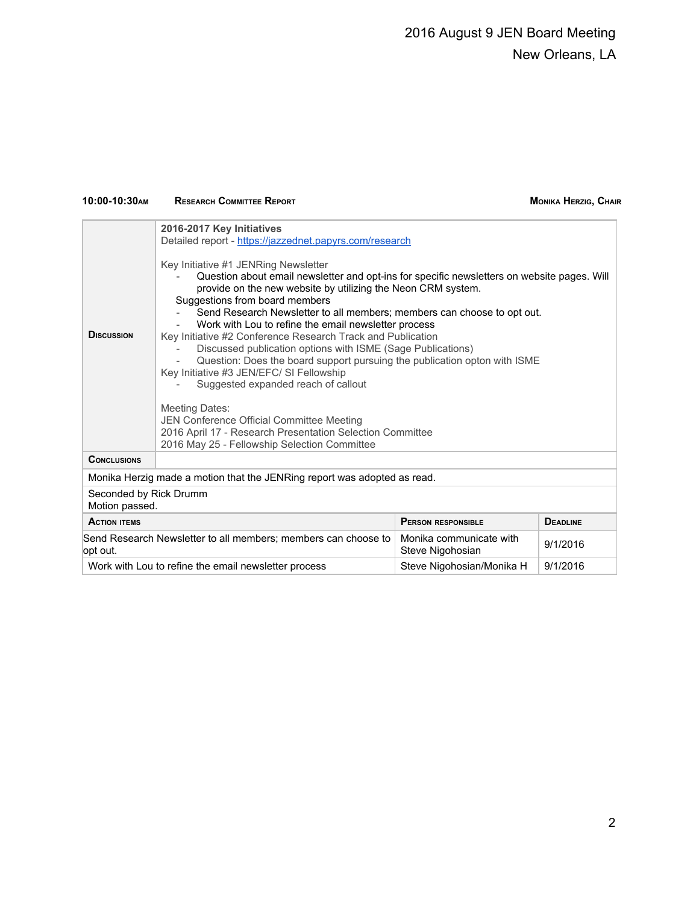## 2016 August 9 JEN Board Meeting New Orleans, LA

### **10:00-10:30AM RESEARCH COMMITTEE REPORT MONIKA HERZIG, CHAIR**

| <b>DISCUSSION</b>                                                                             | 2016-2017 Key Initiatives<br>Detailed report - https://jazzednet.papyrs.com/research<br>Key Initiative #1 JENRing Newsletter<br>Question about email newsletter and opt-ins for specific newsletters on website pages. Will<br>provide on the new website by utilizing the Neon CRM system.<br>Suggestions from board members<br>Send Research Newsletter to all members; members can choose to opt out.<br>Work with Lou to refine the email newsletter process<br>Key Initiative #2 Conference Research Track and Publication<br>Discussed publication options with ISME (Sage Publications)<br>Question: Does the board support pursuing the publication opton with ISME<br>Key Initiative #3 JEN/EFC/ SI Fellowship<br>Suggested expanded reach of callout<br><b>Meeting Dates:</b><br>JEN Conference Official Committee Meeting<br>2016 April 17 - Research Presentation Selection Committee |                                             |          |
|-----------------------------------------------------------------------------------------------|---------------------------------------------------------------------------------------------------------------------------------------------------------------------------------------------------------------------------------------------------------------------------------------------------------------------------------------------------------------------------------------------------------------------------------------------------------------------------------------------------------------------------------------------------------------------------------------------------------------------------------------------------------------------------------------------------------------------------------------------------------------------------------------------------------------------------------------------------------------------------------------------------|---------------------------------------------|----------|
| <b>CONCLUSIONS</b>                                                                            | 2016 May 25 - Fellowship Selection Committee                                                                                                                                                                                                                                                                                                                                                                                                                                                                                                                                                                                                                                                                                                                                                                                                                                                      |                                             |          |
| Monika Herzig made a motion that the JENRing report was adopted as read.                      |                                                                                                                                                                                                                                                                                                                                                                                                                                                                                                                                                                                                                                                                                                                                                                                                                                                                                                   |                                             |          |
| Seconded by Rick Drumm<br>Motion passed.                                                      |                                                                                                                                                                                                                                                                                                                                                                                                                                                                                                                                                                                                                                                                                                                                                                                                                                                                                                   |                                             |          |
| <b>ACTION ITEMS</b><br><b>PERSON RESPONSIBLE</b><br><b>DEADLINE</b>                           |                                                                                                                                                                                                                                                                                                                                                                                                                                                                                                                                                                                                                                                                                                                                                                                                                                                                                                   |                                             |          |
| opt out.                                                                                      | Send Research Newsletter to all members; members can choose to                                                                                                                                                                                                                                                                                                                                                                                                                                                                                                                                                                                                                                                                                                                                                                                                                                    | Monika communicate with<br>Steve Nigohosian | 9/1/2016 |
| 9/1/2016<br>Work with Lou to refine the email newsletter process<br>Steve Nigohosian/Monika H |                                                                                                                                                                                                                                                                                                                                                                                                                                                                                                                                                                                                                                                                                                                                                                                                                                                                                                   |                                             |          |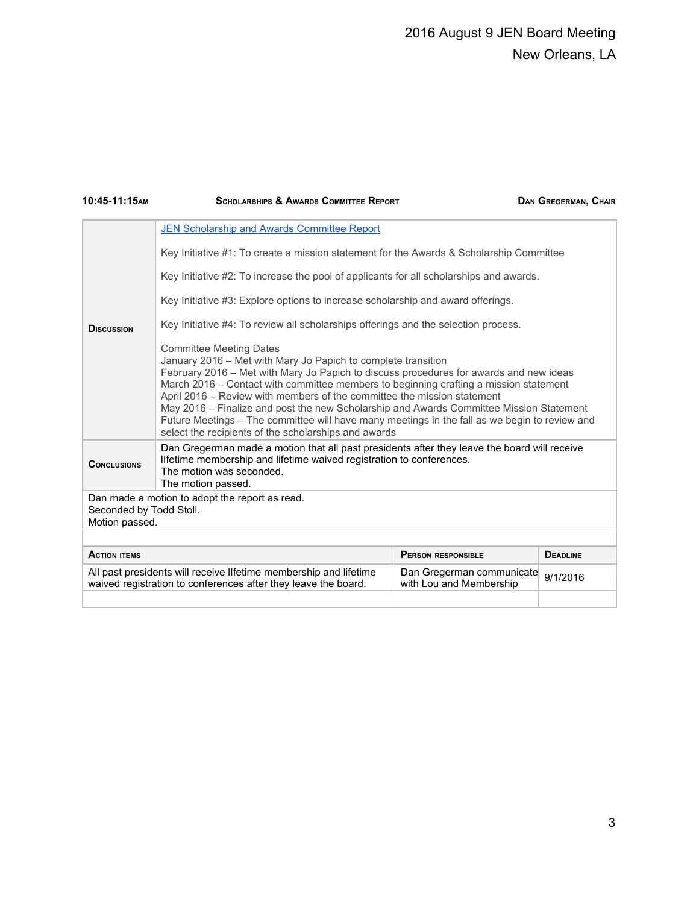## 2016 August 9 JEN Board Meeting New Orleans, LA

| 10:45-11:15AM                                                                   | <b>SCHOLARSHIPS &amp; AWARDS COMMITTEE REPORT</b>                                                                                                                                                                                                                                                                                                                                                                                                                                                                                                                                                                 |                                                      | <b>DAN GREGERMAN, CHAIR</b> |
|---------------------------------------------------------------------------------|-------------------------------------------------------------------------------------------------------------------------------------------------------------------------------------------------------------------------------------------------------------------------------------------------------------------------------------------------------------------------------------------------------------------------------------------------------------------------------------------------------------------------------------------------------------------------------------------------------------------|------------------------------------------------------|-----------------------------|
|                                                                                 | JEN Scholarship and Awards Committee Report                                                                                                                                                                                                                                                                                                                                                                                                                                                                                                                                                                       |                                                      |                             |
|                                                                                 | Key Initiative #1: To create a mission statement for the Awards & Scholarship Committee                                                                                                                                                                                                                                                                                                                                                                                                                                                                                                                           |                                                      |                             |
|                                                                                 | Key Initiative #2: To increase the pool of applicants for all scholarships and awards.                                                                                                                                                                                                                                                                                                                                                                                                                                                                                                                            |                                                      |                             |
| Key Initiative #3: Explore options to increase scholarship and award offerings. |                                                                                                                                                                                                                                                                                                                                                                                                                                                                                                                                                                                                                   |                                                      |                             |
| <b>D</b> ISCUSSION                                                              | Key Initiative #4: To review all scholarships offerings and the selection process.                                                                                                                                                                                                                                                                                                                                                                                                                                                                                                                                |                                                      |                             |
|                                                                                 | <b>Committee Meeting Dates</b><br>January 2016 - Met with Mary Jo Papich to complete transition<br>February 2016 – Met with Mary Jo Papich to discuss procedures for awards and new ideas<br>March 2016 - Contact with committee members to beginning crafting a mission statement<br>April 2016 – Review with members of the committee the mission statement<br>May 2016 - Finalize and post the new Scholarship and Awards Committee Mission Statement<br>Future Meetings - The committee will have many meetings in the fall as we begin to review and<br>select the recipients of the scholarships and awards |                                                      |                             |
| <b>CONCLUSIONS</b>                                                              | Dan Gregerman made a motion that all past presidents after they leave the board will receive<br>Ilfetime membership and lifetime waived registration to conferences.<br>The motion was seconded.<br>The motion passed.                                                                                                                                                                                                                                                                                                                                                                                            |                                                      |                             |
| Seconded by Todd Stoll.<br>Motion passed.                                       | Dan made a motion to adopt the report as read.                                                                                                                                                                                                                                                                                                                                                                                                                                                                                                                                                                    |                                                      |                             |
|                                                                                 |                                                                                                                                                                                                                                                                                                                                                                                                                                                                                                                                                                                                                   |                                                      |                             |
| <b>ACTION ITEMS</b>                                                             |                                                                                                                                                                                                                                                                                                                                                                                                                                                                                                                                                                                                                   | <b>PERSON RESPONSIBLE</b>                            | <b>DEADLINE</b>             |
|                                                                                 | All past presidents will receive Ilfetime membership and lifetime<br>waived registration to conferences after they leave the board.                                                                                                                                                                                                                                                                                                                                                                                                                                                                               | Dan Gregerman communicate<br>with Lou and Membership | 9/1/2016                    |
|                                                                                 |                                                                                                                                                                                                                                                                                                                                                                                                                                                                                                                                                                                                                   |                                                      |                             |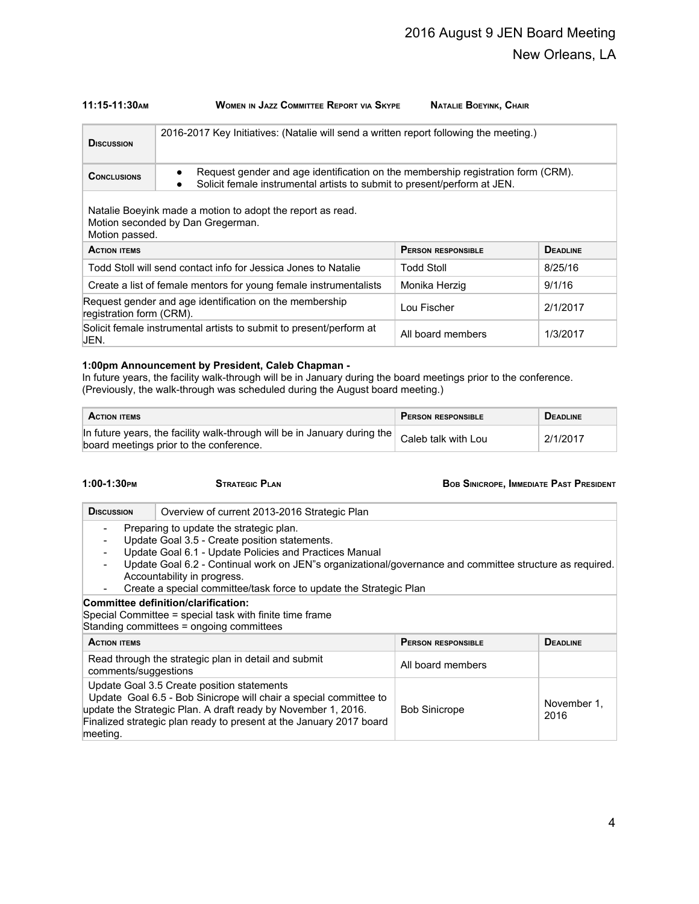### **11:15-11:30AM WOMEN IN JAZZ COMMITTEE REPORT VIA SKYPE NATALIE BOEYINK, CHAIR**

| <b>D</b> ISCUSSION                                                                                                | 2016-2017 Key Initiatives: (Natalie will send a written report following the meeting.)                                                                                                 |                   |          |
|-------------------------------------------------------------------------------------------------------------------|----------------------------------------------------------------------------------------------------------------------------------------------------------------------------------------|-------------------|----------|
| <b>CONCLUSIONS</b>                                                                                                | Request gender and age identification on the membership registration form (CRM).<br>$\bullet$<br>Solicit female instrumental artists to submit to present/perform at JEN.<br>$\bullet$ |                   |          |
| Natalie Boeyink made a motion to adopt the report as read.<br>Motion seconded by Dan Gregerman.<br>Motion passed. |                                                                                                                                                                                        |                   |          |
| <b>DEADLINE</b><br><b>PERSON RESPONSIBLE</b><br><b>ACTION ITEMS</b>                                               |                                                                                                                                                                                        |                   |          |
| Todd Stoll will send contact info for Jessica Jones to Natalie                                                    |                                                                                                                                                                                        | Todd Stoll        | 8/25/16  |
| Create a list of female mentors for young female instrumentalists                                                 |                                                                                                                                                                                        | Monika Herzig     | 9/1/16   |
| Request gender and age identification on the membership<br>registration form (CRM).                               |                                                                                                                                                                                        | Lou Fischer       | 2/1/2017 |
| Solicit female instrumental artists to submit to present/perform at<br>JEN.                                       |                                                                                                                                                                                        | All board members | 1/3/2017 |

### **1:00pm Announcement by President, Caleb Chapman -**

In future years, the facility walk-through will be in January during the board meetings prior to the conference. (Previously, the walk-through was scheduled during the August board meeting.)

| <b>ACTION ITEMS</b>                                                                                                                             | <b>PERSON RESPONSIBLE</b> | <b>DEADLINE</b> |
|-------------------------------------------------------------------------------------------------------------------------------------------------|---------------------------|-----------------|
| In future years, the facility walk-through will be in January during the $\vert$ Caleb talk with Lou<br>board meetings prior to the conference. |                           | 2/1/2017        |

| 1:00-1:30 РМ | <b>STRATE</b> |
|--------------|---------------|
|              |               |

**1:00-1:30PM STRATEGIC PLAN BOB SINICROPE, IMMEDIATE PAST PRESIDENT**

| <b>D</b> ISCUSSION                                                                                                                                                                                                                                                                                                                                                                                                                                      | Overview of current 2013-2016 Strategic Plan                                                                                                                                                                                                            |                           |                     |  |
|---------------------------------------------------------------------------------------------------------------------------------------------------------------------------------------------------------------------------------------------------------------------------------------------------------------------------------------------------------------------------------------------------------------------------------------------------------|---------------------------------------------------------------------------------------------------------------------------------------------------------------------------------------------------------------------------------------------------------|---------------------------|---------------------|--|
| Preparing to update the strategic plan.<br>$\overline{\phantom{a}}$<br>Update Goal 3.5 - Create position statements.<br>$\overline{\phantom{a}}$<br>Update Goal 6.1 - Update Policies and Practices Manual<br>Update Goal 6.2 - Continual work on JEN"s organizational/governance and committee structure as required.<br>Accountability in progress.<br>Create a special committee/task force to update the Strategic Plan<br>$\overline{\phantom{a}}$ |                                                                                                                                                                                                                                                         |                           |                     |  |
| Committee definition/clarification:<br>Special Committee = special task with finite time frame<br>Standing committees = ongoing committees                                                                                                                                                                                                                                                                                                              |                                                                                                                                                                                                                                                         |                           |                     |  |
| <b>ACTION ITEMS</b>                                                                                                                                                                                                                                                                                                                                                                                                                                     |                                                                                                                                                                                                                                                         | <b>PERSON RESPONSIBLE</b> | <b>DEADLINE</b>     |  |
| comments/suggestions                                                                                                                                                                                                                                                                                                                                                                                                                                    | Read through the strategic plan in detail and submit                                                                                                                                                                                                    | All board members         |                     |  |
| meeting.                                                                                                                                                                                                                                                                                                                                                                                                                                                | Update Goal 3.5 Create position statements<br>Update Goal 6.5 - Bob Sinicrope will chair a special committee to<br>update the Strategic Plan. A draft ready by November 1, 2016.<br>Finalized strategic plan ready to present at the January 2017 board | <b>Bob Sinicrope</b>      | November 1.<br>2016 |  |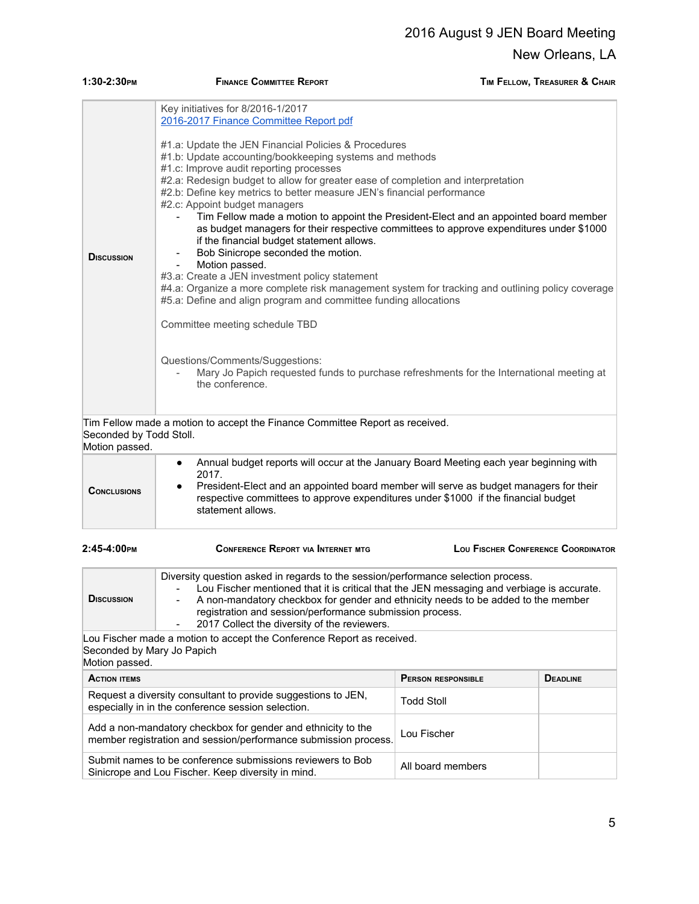| 1:30-2:30PM                               | <b>FINANCE COMMITTEE REPORT</b>                                                                                                                                                                                                                                                                                                                                                                                                                                                                                                                                                                                                                                                                                                                                                                                                                                                                                                                                                                                                                                                                                                                 | TIM FELLOW, TREASURER & CHAIR      |
|-------------------------------------------|-------------------------------------------------------------------------------------------------------------------------------------------------------------------------------------------------------------------------------------------------------------------------------------------------------------------------------------------------------------------------------------------------------------------------------------------------------------------------------------------------------------------------------------------------------------------------------------------------------------------------------------------------------------------------------------------------------------------------------------------------------------------------------------------------------------------------------------------------------------------------------------------------------------------------------------------------------------------------------------------------------------------------------------------------------------------------------------------------------------------------------------------------|------------------------------------|
| <b>DISCUSSION</b>                         | Key initiatives for 8/2016-1/2017<br>2016-2017 Finance Committee Report pdf<br>#1.a: Update the JEN Financial Policies & Procedures<br>#1.b: Update accounting/bookkeeping systems and methods<br>#1.c: Improve audit reporting processes<br>#2.a: Redesign budget to allow for greater ease of completion and interpretation<br>#2.b: Define key metrics to better measure JEN's financial performance<br>#2.c: Appoint budget managers<br>Tim Fellow made a motion to appoint the President-Elect and an appointed board member<br>as budget managers for their respective committees to approve expenditures under \$1000<br>if the financial budget statement allows.<br>Bob Sinicrope seconded the motion.<br>Motion passed.<br>#3.a: Create a JEN investment policy statement<br>#4.a: Organize a more complete risk management system for tracking and outlining policy coverage<br>#5.a: Define and align program and committee funding allocations<br>Committee meeting schedule TBD<br>Questions/Comments/Suggestions:<br>Mary Jo Papich requested funds to purchase refreshments for the International meeting at<br>the conference. |                                    |
| Seconded by Todd Stoll.<br>Motion passed. | Tim Fellow made a motion to accept the Finance Committee Report as received.                                                                                                                                                                                                                                                                                                                                                                                                                                                                                                                                                                                                                                                                                                                                                                                                                                                                                                                                                                                                                                                                    |                                    |
| <b>CONCLUSIONS</b>                        | Annual budget reports will occur at the January Board Meeting each year beginning with<br>$\bullet$<br>2017.<br>President-Elect and an appointed board member will serve as budget managers for their<br>respective committees to approve expenditures under \$1000 if the financial budget<br>statement allows.                                                                                                                                                                                                                                                                                                                                                                                                                                                                                                                                                                                                                                                                                                                                                                                                                                |                                    |
| $2:45-4:00$ рм                            | CONFERENCE REPORT VIA INTERNET MTG                                                                                                                                                                                                                                                                                                                                                                                                                                                                                                                                                                                                                                                                                                                                                                                                                                                                                                                                                                                                                                                                                                              | LOU FISCHER CONFERENCE COORDINATOR |

| $2:45-4:00$ PM                               | <b>CONFERENCE REPORT VIA INTERNET MTG</b>                                                                                                                                                                                                                                                                                                                                                                    | LOU FISCHER CONFERENCE COORDINATOR |                 |
|----------------------------------------------|--------------------------------------------------------------------------------------------------------------------------------------------------------------------------------------------------------------------------------------------------------------------------------------------------------------------------------------------------------------------------------------------------------------|------------------------------------|-----------------|
| <b>D</b> ISCUSSION                           | Diversity question asked in regards to the session/performance selection process.<br>Lou Fischer mentioned that it is critical that the JEN messaging and verbiage is accurate.<br>A non-mandatory checkbox for gender and ethnicity needs to be added to the member<br>registration and session/performance submission process.<br>2017 Collect the diversity of the reviewers.<br>$\overline{\phantom{a}}$ |                                    |                 |
| Seconded by Mary Jo Papich<br>Motion passed. | Lou Fischer made a motion to accept the Conference Report as received.                                                                                                                                                                                                                                                                                                                                       |                                    |                 |
| <b>ACTION ITEMS</b>                          |                                                                                                                                                                                                                                                                                                                                                                                                              | <b>PERSON RESPONSIBLE</b>          | <b>DEADLINE</b> |
|                                              | Request a diversity consultant to provide suggestions to JEN,<br>especially in in the conference session selection.                                                                                                                                                                                                                                                                                          | <b>Todd Stoll</b>                  |                 |
|                                              | Add a non-mandatory checkbox for gender and ethnicity to the<br>member registration and session/performance submission process.                                                                                                                                                                                                                                                                              | Lou Fischer                        |                 |
|                                              | Submit names to be conference submissions reviewers to Bob<br>Sinicrope and Lou Fischer. Keep diversity in mind.                                                                                                                                                                                                                                                                                             | All board members                  |                 |